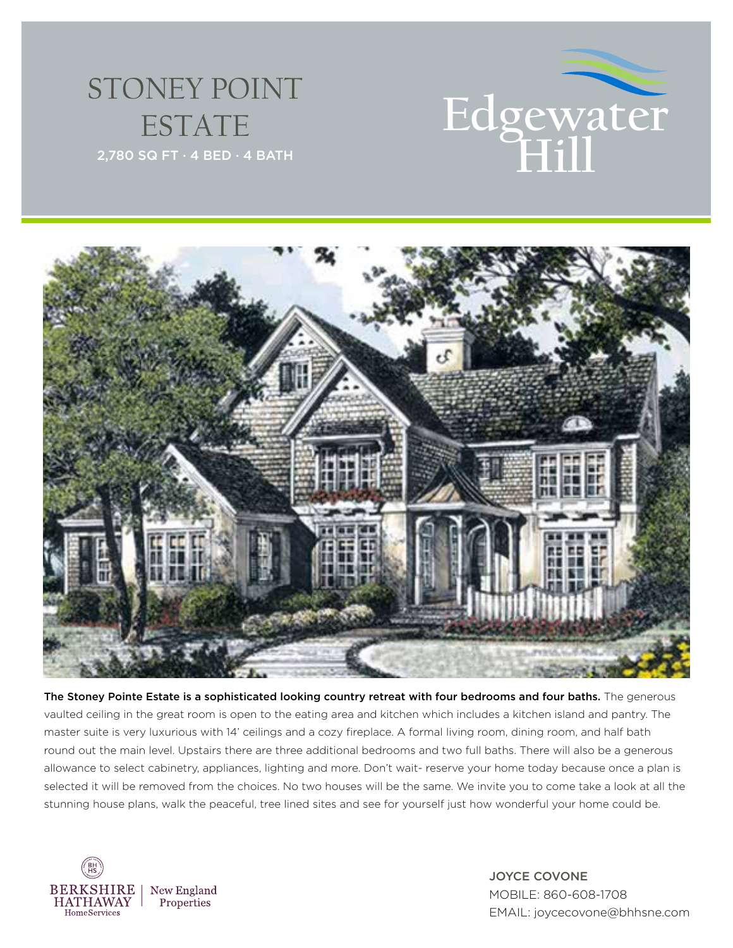## STONEY POINT ESTATE





The Stoney Pointe Estate is a sophisticated looking country retreat with four bedrooms and four baths. The generous vaulted ceiling in the great room is open to the eating area and kitchen which includes a kitchen island and pantry. The master suite is very luxurious with 14' ceilings and a cozy fireplace. A formal living room, dining room, and half bath round out the main level. Upstairs there are three additional bedrooms and two full baths. There will also be a generous allowance to select cabinetry, appliances, lighting and more. Don't wait- reserve your home today because once a plan is selected it will be removed from the choices. No two houses will be the same. We invite you to come take a look at all the stunning house plans, walk the peaceful, tree lined sites and see for yourself just how wonderful your home could be.



JOYCE COVONE MOBILE: 860-608-1708 EMAIL: joycecovone@bhhsne.com